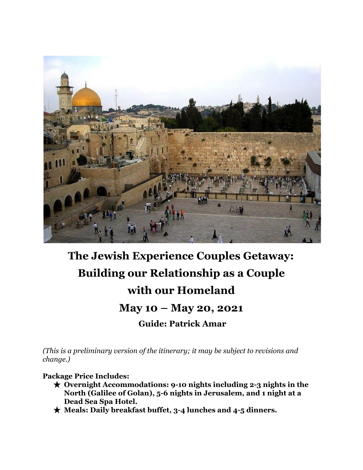

# **The Jewish Experience Couples Getaway: Building our Relationship as a Couple with our Homeland May 10 – May 20, 2021 Guide: Patrick Amar**

*(This is a preliminary version of the itinerary; it may be subject to revisions and change.)*

#### **Package Price Includes:**

- ★ **Overnight Accommodations: 9-10 nights including 2-3 nights in the North (Galilee of Golan), 5-6 nights in Jerusalem, and 1 night at a Dead Sea Spa Hotel.**
- ★ **Meals: Daily breakfast buffet, 3-4 lunches and 4-5 dinners.**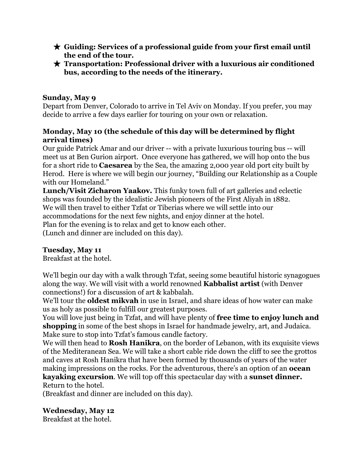- ★ **Guiding: Services of a professional guide from your first email until the end of the tour.**
- ★ **Transportation: Professional driver with a luxurious air conditioned bus, according to the needs of the itinerary.**

## **Sunday, May 9**

Depart from Denver, Colorado to arrive in Tel Aviv on Monday. If you prefer, you may decide to arrive a few days earlier for touring on your own or relaxation.

## **Monday, May 10 (the schedule of this day will be determined by flight arrival times)**

Our guide Patrick Amar and our driver -- with a private luxurious touring bus -- will meet us at Ben Gurion airport. Once everyone has gathered, we will hop onto the bus for a short ride to **Caesarea** by the Sea, the amazing 2,000 year old port city built by Herod. Here is where we will begin our journey, "Building our Relationship as a Couple with our Homeland."

**Lunch/Visit Zicharon Yaakov.** This funky town full of art galleries and eclectic shops was founded by the idealistic Jewish pioneers of the First Aliyah in 1882. We will then travel to either Tzfat or Tiberias where we will settle into our accommodations for the next few nights, and enjoy dinner at the hotel. Plan for the evening is to relax and get to know each other. (Lunch and dinner are included on this day).

## **Tuesday, May 11**

Breakfast at the hotel.

We'll begin our day with a walk through Tzfat, seeing some beautiful historic synagogues along the way. We will visit with a world renowned **Kabbalist artist** (with Denver connections!) for a discussion of art & kabbalah.

We'll tour the **oldest mikvah** in use in Israel, and share ideas of how water can make us as holy as possible to fulfill our greatest purposes.

You will love just being in Tzfat, and will have plenty of **free time to enjoy lunch and shopping** in some of the best shops in Israel for handmade jewelry, art, and Judaica. Make sure to stop into Tzfat's famous candle factory.

We will then head to **Rosh Hanikra**, on the border of Lebanon, with its exquisite views of the Mediteranean Sea. We will take a short cable ride down the cliff to see the grottos and caves at Rosh Hanikra that have been formed by thousands of years of the water making impressions on the rocks. For the adventurous, there's an option of an **ocean kayaking excursion**. We will top off this spectacular day with a **sunset dinner.**

Return to the hotel.

(Breakfast and dinner are included on this day).

# **Wednesday, May 12**

Breakfast at the hotel.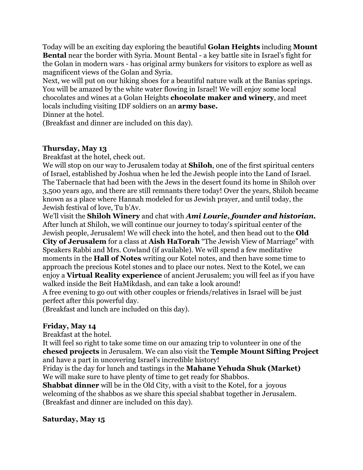Today will be an exciting day exploring the beautiful **Golan Heights** including **Mount Bental** near the border with Syria. Mount Bental - a key battle site in Israel's fight for the Golan in modern wars - has original army bunkers for visitors to explore as well as magnificent views of the Golan and Syria.

Next, we will put on our hiking shoes for a beautiful nature walk at the Banias springs. You will be amazed by the white water flowing in Israel! We will enjoy some local chocolates and wines at a Golan Heights **chocolate maker and winery**, and meet locals including visiting IDF soldiers on an **army base.**

Dinner at the hotel.

(Breakfast and dinner are included on this day).

## **Thursday, May 13**

Breakfast at the hotel, check out.

We will stop on our way to Jerusalem today at **Shiloh**, one of the first spiritual centers of Israel, established by Joshua when he led the Jewish people into the Land of Israel. The Tabernacle that had been with the Jews in the desert found its home in Shiloh over 3,500 years ago, and there are still remnants there today! Over the years, Shiloh became known as a place where Hannah modeled for us Jewish prayer, and until today, the Jewish festival of love, Tu b'Av.

We'll visit the **Shiloh Winery** and chat with *Ami Lourie, founder and historian.* After lunch at Shiloh, we will continue our journey to today's spiritual center of the Jewish people, Jerusalem! We will check into the hotel, and then head out to the **Old City of Jerusalem** for a class at **Aish HaTorah** "The Jewish View of Marriage" with Speakers Rabbi and Mrs. Cowland (if available). We will spend a few meditative moments in the **Hall of Notes** writing our Kotel notes, and then have some time to approach the precious Kotel stones and to place our notes. Next to the Kotel, we can enjoy a **Virtual Reality experience** of ancient Jerusalem; you will feel as if you have walked inside the Beit HaMikdash, and can take a look around!

A free evening to go out with other couples or friends/relatives in Israel will be just perfect after this powerful day.

(Breakfast and lunch are included on this day).

# **Friday, May 14**

Breakfast at the hotel.

It will feel so right to take some time on our amazing trip to volunteer in one of the **chesed projects** in Jerusalem. We can also visit the **Temple Mount Sifting Project** and have a part in uncovering Israel's incredible history!

Friday is the day for lunch and tastings in the **Mahane Yehuda Shuk (Market)** We will make sure to have plenty of time to get ready for Shabbos.

**Shabbat dinner** will be in the Old City, with a visit to the Kotel, for a joyous welcoming of the shabbos as we share this special shabbat together in Jerusalem. (Breakfast and dinner are included on this day).

## **Saturday, May 15**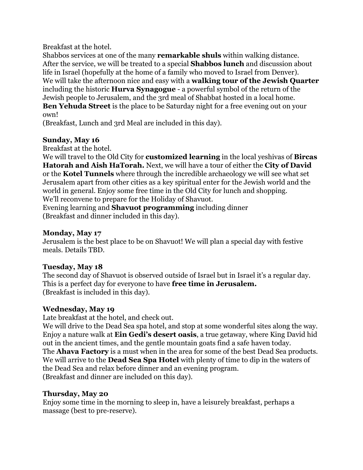Breakfast at the hotel.

Shabbos services at one of the many **remarkable shuls** within walking distance. After the service, we will be treated to a special **Shabbos lunch** and discussion about life in Israel (hopefully at the home of a family who moved to Israel from Denver). We will take the afternoon nice and easy with a **walking tour of the Jewish Quarter** including the historic **Hurva Synagogue** - a powerful symbol of the return of the Jewish people to Jerusalem, and the 3rd meal of Shabbat hosted in a local home. **Ben Yehuda Street** is the place to be Saturday night for a free evening out on your own!

(Breakfast, Lunch and 3rd Meal are included in this day).

## **Sunday, May 16**

Breakfast at the hotel.

We will travel to the Old City for **customized learning** in the local yeshivas of **Bircas Hatorah and Aish HaTorah.** Next, we will have a tour of either the **City of David** or the **Kotel Tunnels** where through the incredible archaeology we will see what set Jerusalem apart from other cities as a key spiritual enter for the Jewish world and the world in general. Enjoy some free time in the Old City for lunch and shopping. We'll reconvene to prepare for the Holiday of Shavuot.

Evening learning and **Shavuot programming** including dinner (Breakfast and dinner included in this day).

#### **Monday, May 17**

Jerusalem is the best place to be on Shavuot! We will plan a special day with festive meals. Details TBD.

#### **Tuesday, May 18**

The second day of Shavuot is observed outside of Israel but in Israel it's a regular day. This is a perfect day for everyone to have **free time in Jerusalem.** (Breakfast is included in this day).

## **Wednesday, May 19**

Late breakfast at the hotel, and check out.

We will drive to the Dead Sea spa hotel, and stop at some wonderful sites along the way. Enjoy a nature walk at **Ein Gedi's desert oasis**, a true getaway, where King David hid out in the ancient times, and the gentle mountain goats find a safe haven today. The **Ahava Factory** is a must when in the area for some of the best Dead Sea products. We will arrive to the **Dead Sea Spa Hotel** with plenty of time to dip in the waters of the Dead Sea and relax before dinner and an evening program. (Breakfast and dinner are included on this day).

## **Thursday, May 20**

Enjoy some time in the morning to sleep in, have a leisurely breakfast, perhaps a massage (best to pre-reserve).